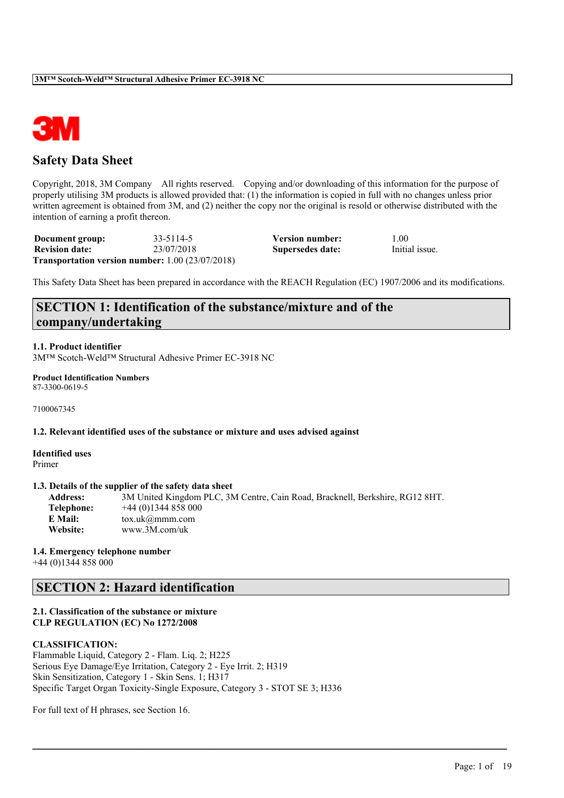

# **Safety Data Sheet**

Copyright, 2018, 3M Company All rights reserved. Copying and/or downloading of this information for the purpose of properly utilising 3M products is allowed provided that: (1) the information is copied in full with no changes unless prior written agreement is obtained from 3M, and (2) neither the copy nor the original is resold or otherwise distributed with the intention of earning a profit thereon.

| Document group:       | 33-5114-5                                                     | Version number:  | 00 <sub>1</sub> |
|-----------------------|---------------------------------------------------------------|------------------|-----------------|
| <b>Revision date:</b> | 23/07/2018                                                    | Supersedes date: | Initial issue.  |
|                       | <b>Transportation version number:</b> $1.00$ ( $23/07/2018$ ) |                  |                 |

This Safety Data Sheet has been prepared in accordance with the REACH Regulation (EC) 1907/2006 and its modifications.

# **SECTION 1: Identification of the substance/mixture and of the company/undertaking**

#### **1.1. Product identifier**

3M™ Scotch-Weld™ Structural Adhesive Primer EC-3918 NC

#### **Product Identification Numbers** 87-3300-0619-5

7100067345

### **1.2. Relevant identified uses of the substance or mixture and uses advised against**

**Identified uses** Primer

#### **1.3. Details of the supplier of the safety data sheet**

| <b>Address:</b> | 3M United Kingdom PLC, 3M Centre, Cain Road, Bracknell, Berkshire, RG12 8HT. |
|-----------------|------------------------------------------------------------------------------|
| Telephone:      | $+44(0)1344858000$                                                           |
| E Mail:         | $\text{tox.uk}(\mathcal{Q}$ mmm.com                                          |
| <b>Website:</b> | www.3M.com/uk                                                                |

 $\mathcal{L}_\mathcal{L} = \mathcal{L}_\mathcal{L} = \mathcal{L}_\mathcal{L} = \mathcal{L}_\mathcal{L} = \mathcal{L}_\mathcal{L} = \mathcal{L}_\mathcal{L} = \mathcal{L}_\mathcal{L} = \mathcal{L}_\mathcal{L} = \mathcal{L}_\mathcal{L} = \mathcal{L}_\mathcal{L} = \mathcal{L}_\mathcal{L} = \mathcal{L}_\mathcal{L} = \mathcal{L}_\mathcal{L} = \mathcal{L}_\mathcal{L} = \mathcal{L}_\mathcal{L} = \mathcal{L}_\mathcal{L} = \mathcal{L}_\mathcal{L}$ 

#### **1.4. Emergency telephone number**

+44 (0)1344 858 000

# **SECTION 2: Hazard identification**

#### **2.1. Classification of the substance or mixture CLP REGULATION (EC) No 1272/2008**

#### **CLASSIFICATION:**

Flammable Liquid, Category 2 - Flam. Liq. 2; H225 Serious Eye Damage/Eye Irritation, Category 2 - Eye Irrit. 2; H319 Skin Sensitization, Category 1 - Skin Sens. 1; H317 Specific Target Organ Toxicity-Single Exposure, Category 3 - STOT SE 3; H336

For full text of H phrases, see Section 16.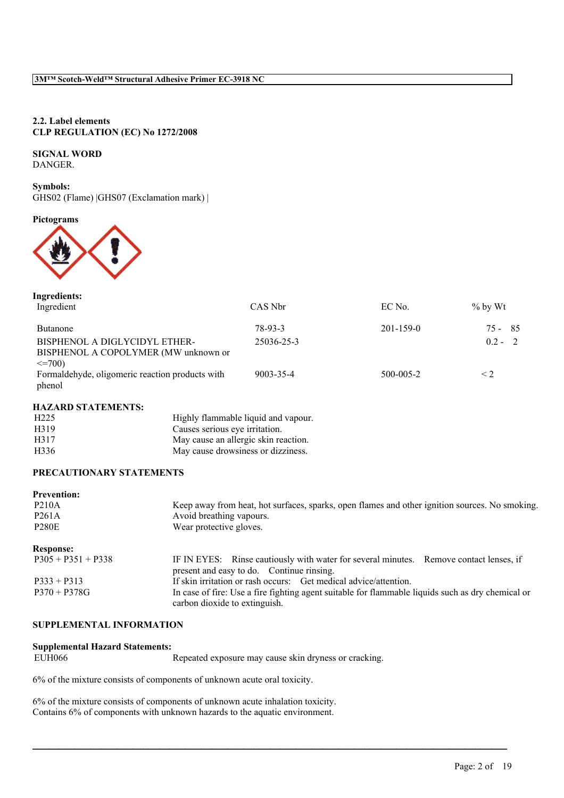### **2.2. Label elements CLP REGULATION (EC) No 1272/2008**

# **SIGNAL WORD**

DANGER.

**Symbols:** GHS02 (Flame) |GHS07 (Exclamation mark) |

**Pictograms**



| Ingredients:<br>Ingredient                                                            | CAS Nbr    | EC No.          | $\%$ by Wt   |
|---------------------------------------------------------------------------------------|------------|-----------------|--------------|
| <b>Butanone</b>                                                                       | 78-93-3    | $201 - 159 - 0$ | - 85<br>75 - |
| BISPHENOL A DIGLYCIDYL ETHER-<br>BISPHENOL A COPOLYMER (MW unknown or<br>$\leq$ =700) | 25036-25-3 |                 | $02 - 2$     |
| Formaldehyde, oligomeric reaction products with<br>phenol                             | 9003-35-4  | $500 - 005 - 2$ | $\leq$ 2     |

#### **HAZARD STATEMENTS:**

| H <sub>225</sub> | Highly flammable liquid and vapour.  |
|------------------|--------------------------------------|
| H319             | Causes serious eye irritation.       |
| H317             | May cause an allergic skin reaction. |
| H336             | May cause drowsiness or dizziness.   |

### **PRECAUTIONARY STATEMENTS**

| <b>Prevention:</b>   |                                                                                                                                     |
|----------------------|-------------------------------------------------------------------------------------------------------------------------------------|
| <b>P210A</b>         | Keep away from heat, hot surfaces, sparks, open flames and other ignition sources. No smoking.                                      |
| P <sub>261</sub> A   | Avoid breathing vapours.                                                                                                            |
| <b>P280E</b>         | Wear protective gloves.                                                                                                             |
| <b>Response:</b>     |                                                                                                                                     |
| $P305 + P351 + P338$ | IF IN EYES: Rinse cautiously with water for several minutes. Remove contact lenses, if<br>present and easy to do. Continue rinsing. |
| $P333 + P313$        | If skin irritation or rash occurs: Get medical advice/attention.                                                                    |
| $P370 + P378G$       | In case of fire: Use a fire fighting agent suitable for flammable liquids such as dry chemical or<br>carbon dioxide to extinguish.  |

#### **SUPPLEMENTAL INFORMATION**

# **Supplemental Hazard Statements:**

Repeated exposure may cause skin dryness or cracking.

 $\mathcal{L}_\mathcal{L} = \mathcal{L}_\mathcal{L} = \mathcal{L}_\mathcal{L} = \mathcal{L}_\mathcal{L} = \mathcal{L}_\mathcal{L} = \mathcal{L}_\mathcal{L} = \mathcal{L}_\mathcal{L} = \mathcal{L}_\mathcal{L} = \mathcal{L}_\mathcal{L} = \mathcal{L}_\mathcal{L} = \mathcal{L}_\mathcal{L} = \mathcal{L}_\mathcal{L} = \mathcal{L}_\mathcal{L} = \mathcal{L}_\mathcal{L} = \mathcal{L}_\mathcal{L} = \mathcal{L}_\mathcal{L} = \mathcal{L}_\mathcal{L}$ 

6% of the mixture consists of components of unknown acute oral toxicity.

6% of the mixture consists of components of unknown acute inhalation toxicity. Contains 6% of components with unknown hazards to the aquatic environment.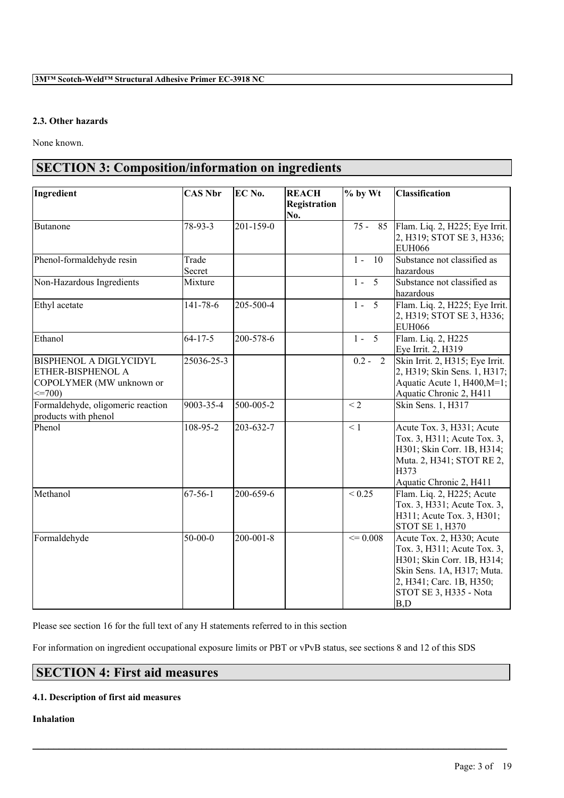### **2.3. Other hazards**

None known.

# **SECTION 3: Composition/information on ingredients**

| Ingredient                                                                                    | <b>CAS Nbr</b>  | EC No.          | <b>REACH</b><br>Registration<br>No. | $%$ by Wt            | Classification                                                                                                                                                                    |
|-----------------------------------------------------------------------------------------------|-----------------|-----------------|-------------------------------------|----------------------|-----------------------------------------------------------------------------------------------------------------------------------------------------------------------------------|
| Butanone                                                                                      | $78-93-3$       | 201-159-0       |                                     | $\overline{75}$ - 85 | Flam. Liq. 2, H225; Eye Irrit.<br>2, H319; STOT SE 3, H336;<br><b>EUH066</b>                                                                                                      |
| Phenol-formaldehyde resin                                                                     | Trade<br>Secret |                 |                                     | $1 -$<br>10          | Substance not classified as<br>hazardous                                                                                                                                          |
| Non-Hazardous Ingredients                                                                     | Mixture         |                 |                                     | $1 - 5$              | Substance not classified as<br>hazardous                                                                                                                                          |
| Ethyl acetate                                                                                 | 141-78-6        | 205-500-4       |                                     | $1 - 5$              | Flam. Liq. 2, H225; Eye Irrit.<br>2, H319; STOT SE 3, H336;<br><b>EUH066</b>                                                                                                      |
| Ethanol                                                                                       | $64 - 17 - 5$   | 200-578-6       |                                     | $1 - 5$              | Flam. Liq. 2, H225<br>Eye Irrit. 2, H319                                                                                                                                          |
| <b>BISPHENOL A DIGLYCIDYL</b><br>ETHER-BISPHENOL A<br>COPOLYMER (MW unknown or<br>$\leq$ 700) | 25036-25-3      |                 |                                     | $0.2 - 2$            | Skin Irrit. 2, H315; Eye Irrit.<br>2, H319; Skin Sens. 1, H317;<br>Aquatic Acute 1, H400, M=1;<br>Aquatic Chronic 2, H411                                                         |
| Formaldehyde, oligomeric reaction<br>products with phenol                                     | 9003-35-4       | 500-005-2       |                                     | $\overline{2}$       | Skin Sens. 1, H317                                                                                                                                                                |
| Phenol                                                                                        | 108-95-2        | 203-632-7       |                                     | $\leq 1$             | Acute Tox. 3, H331; Acute<br>Tox. 3, H311; Acute Tox. 3,<br>H301; Skin Corr. 1B, H314;<br>Muta. 2, H341; STOT RE 2,<br>H373<br>Aquatic Chronic 2, H411                            |
| Methanol                                                                                      | $67 - 56 - 1$   | 200-659-6       |                                     | ${}_{0.25}$          | Flam. Liq. 2, H225; Acute<br>Tox. 3, H331; Acute Tox. 3,<br>H311; Acute Tox. 3, H301;<br><b>STOT SE 1, H370</b>                                                                   |
| Formaldehyde                                                                                  | $50 - 00 - 0$   | $200 - 001 - 8$ |                                     | $\leq 0.008$         | Acute Tox. 2, H330; Acute<br>Tox. 3, H311; Acute Tox. 3,<br>H301; Skin Corr. 1B, H314;<br>Skin Sens. 1A, H317; Muta.<br>2, H341; Carc. 1B, H350;<br>STOT SE 3, H335 - Nota<br>B,D |

Please see section 16 for the full text of any H statements referred to in this section

For information on ingredient occupational exposure limits or PBT or vPvB status, see sections 8 and 12 of this SDS

 $\mathcal{L}_\mathcal{L} = \mathcal{L}_\mathcal{L} = \mathcal{L}_\mathcal{L} = \mathcal{L}_\mathcal{L} = \mathcal{L}_\mathcal{L} = \mathcal{L}_\mathcal{L} = \mathcal{L}_\mathcal{L} = \mathcal{L}_\mathcal{L} = \mathcal{L}_\mathcal{L} = \mathcal{L}_\mathcal{L} = \mathcal{L}_\mathcal{L} = \mathcal{L}_\mathcal{L} = \mathcal{L}_\mathcal{L} = \mathcal{L}_\mathcal{L} = \mathcal{L}_\mathcal{L} = \mathcal{L}_\mathcal{L} = \mathcal{L}_\mathcal{L}$ 

# **SECTION 4: First aid measures**

#### **4.1. Description of first aid measures**

**Inhalation**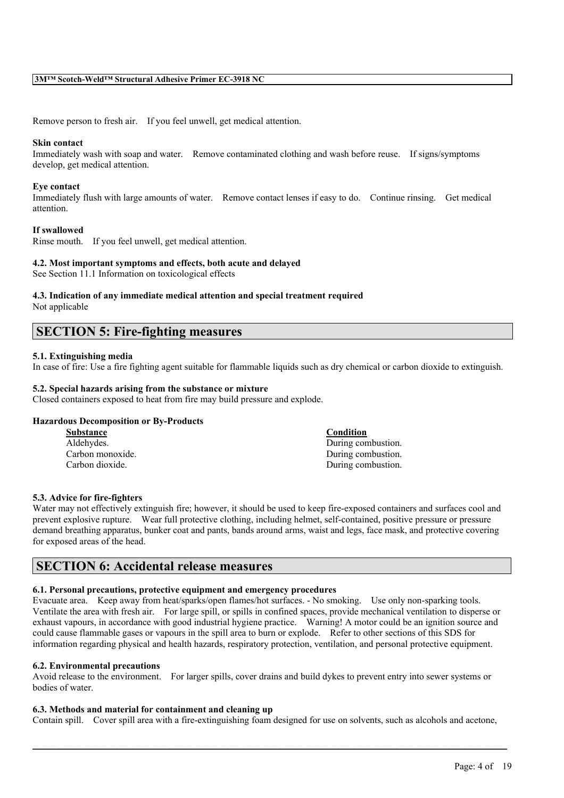Remove person to fresh air. If you feel unwell, get medical attention.

#### **Skin contact**

Immediately wash with soap and water. Remove contaminated clothing and wash before reuse. If signs/symptoms develop, get medical attention.

#### **Eye contact**

Immediately flush with large amounts of water. Remove contact lenses if easy to do. Continue rinsing. Get medical attention.

#### **If swallowed**

Rinse mouth. If you feel unwell, get medical attention.

#### **4.2. Most important symptoms and effects, both acute and delayed**

See Section 11.1 Information on toxicological effects

### **4.3. Indication of any immediate medical attention and special treatment required**

Not applicable

# **SECTION 5: Fire-fighting measures**

#### **5.1. Extinguishing media**

In case of fire: Use a fire fighting agent suitable for flammable liquids such as dry chemical or carbon dioxide to extinguish.

#### **5.2. Special hazards arising from the substance or mixture**

Closed containers exposed to heat from fire may build pressure and explode.

#### **Hazardous Decomposition or By-Products**

| <b>Substance</b> | Condition          |
|------------------|--------------------|
| Aldehydes.       | During combustion. |
| Carbon monoxide. | During combustion. |
| Carbon dioxide.  | During combustion. |

#### **5.3. Advice for fire-fighters**

Water may not effectively extinguish fire; however, it should be used to keep fire-exposed containers and surfaces cool and prevent explosive rupture. Wear full protective clothing, including helmet, self-contained, positive pressure or pressure demand breathing apparatus, bunker coat and pants, bands around arms, waist and legs, face mask, and protective covering for exposed areas of the head.

# **SECTION 6: Accidental release measures**

#### **6.1. Personal precautions, protective equipment and emergency procedures**

Evacuate area. Keep away from heat/sparks/open flames/hot surfaces. - No smoking. Use only non-sparking tools. Ventilate the area with fresh air. For large spill, or spills in confined spaces, provide mechanical ventilation to disperse or exhaust vapours, in accordance with good industrial hygiene practice. Warning! A motor could be an ignition source and could cause flammable gases or vapours in the spill area to burn or explode. Refer to other sections of this SDS for information regarding physical and health hazards, respiratory protection, ventilation, and personal protective equipment.

#### **6.2. Environmental precautions**

Avoid release to the environment. For larger spills, cover drains and build dykes to prevent entry into sewer systems or bodies of water.

#### **6.3. Methods and material for containment and cleaning up**

Contain spill. Cover spill area with a fire-extinguishing foam designed for use on solvents, such as alcohols and acetone,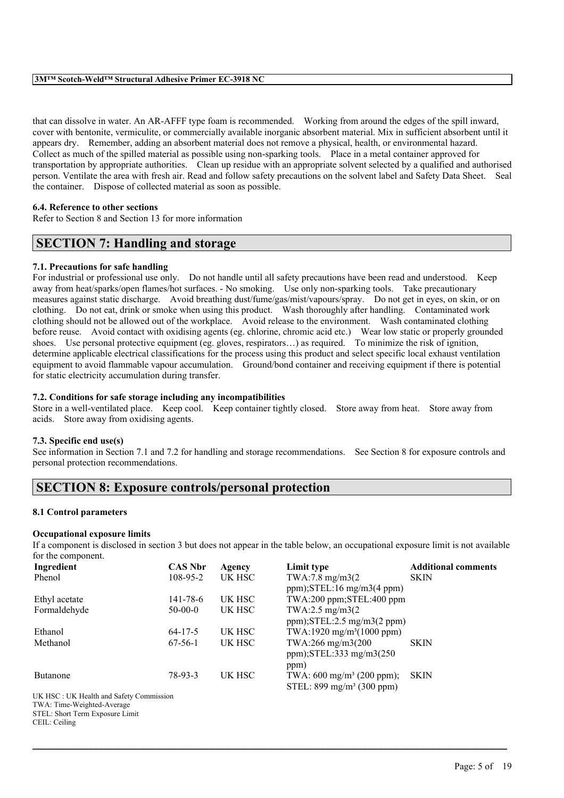that can dissolve in water. An AR-AFFF type foam is recommended. Working from around the edges of the spill inward, cover with bentonite, vermiculite, or commercially available inorganic absorbent material. Mix in sufficient absorbent until it appears dry. Remember, adding an absorbent material does not remove a physical, health, or environmental hazard. Collect as much of the spilled material as possible using non-sparking tools. Place in a metal container approved for transportation by appropriate authorities. Clean up residue with an appropriate solvent selected by a qualified and authorised person. Ventilate the area with fresh air. Read and follow safety precautions on the solvent label and Safety Data Sheet. Seal the container. Dispose of collected material as soon as possible.

#### **6.4. Reference to other sections**

Refer to Section 8 and Section 13 for more information

# **SECTION 7: Handling and storage**

#### **7.1. Precautions for safe handling**

For industrial or professional use only. Do not handle until all safety precautions have been read and understood. Keep away from heat/sparks/open flames/hot surfaces. - No smoking. Use only non-sparking tools. Take precautionary measures against static discharge. Avoid breathing dust/fume/gas/mist/vapours/spray. Do not get in eyes, on skin, or on clothing. Do not eat, drink or smoke when using this product. Wash thoroughly after handling. Contaminated work clothing should not be allowed out of the workplace. Avoid release to the environment. Wash contaminated clothing before reuse. Avoid contact with oxidising agents (eg. chlorine, chromic acid etc.) Wear low static or properly grounded shoes. Use personal protective equipment (eg. gloves, respirators…) as required. To minimize the risk of ignition, determine applicable electrical classifications for the process using this product and select specific local exhaust ventilation equipment to avoid flammable vapour accumulation. Ground/bond container and receiving equipment if there is potential for static electricity accumulation during transfer.

#### **7.2. Conditions for safe storage including any incompatibilities**

Store in a well-ventilated place. Keep cool. Keep container tightly closed. Store away from heat. Store away from acids. Store away from oxidising agents.

#### **7.3. Specific end use(s)**

See information in Section 7.1 and 7.2 for handling and storage recommendations. See Section 8 for exposure controls and personal protection recommendations.

### **SECTION 8: Exposure controls/personal protection**

#### **8.1 Control parameters**

#### **Occupational exposure limits**

If a component is disclosed in section 3 but does not appear in the table below, an occupational exposure limit is not available for the component.

| Ingredient                              | <b>CAS Nbr</b> | Agency | Limit type                            | <b>Additional comments</b> |
|-----------------------------------------|----------------|--------|---------------------------------------|----------------------------|
| Phenol                                  | $108 - 95 - 2$ | UK HSC | TWA:7.8 mg/m3(2)                      | <b>SKIN</b>                |
|                                         |                |        | $ppm$ ); STEL:16 mg/m3(4 ppm)         |                            |
| Ethyl acetate                           | 141-78-6       | UK HSC | TWA:200 ppm;STEL:400 ppm              |                            |
| Formaldehyde                            | $50-00-0$      | UK HSC | TWA:2.5 mg/m3(2)                      |                            |
|                                         |                |        | $ppm$ ); $STEL:2.5 mg/m3(2 ppm)$      |                            |
| Ethanol                                 | $64 - 17 - 5$  | UK HSC | TWA:1920 mg/m <sup>3</sup> (1000 ppm) |                            |
| Methanol                                | $67-56-1$      | UK HSC | TWA:266 mg/m3(200                     | <b>SKIN</b>                |
|                                         |                |        | ppm); $STEL:333$ mg/m $3(250)$        |                            |
|                                         |                |        | ppm)                                  |                            |
| <b>Butanone</b>                         | 78-93-3        | UK HSC | TWA: $600 \text{ mg/m}^3$ (200 ppm);  | <b>SKIN</b>                |
|                                         |                |        | STEL: $899 \text{ mg/m}^3$ (300 ppm)  |                            |
| UK HSC: UK Health and Safety Commission |                |        |                                       |                            |
| TWA: Time-Weighted-Average              |                |        |                                       |                            |
| STEL: Short Term Exposure Limit         |                |        |                                       |                            |
| CEIL: Ceiling                           |                |        |                                       |                            |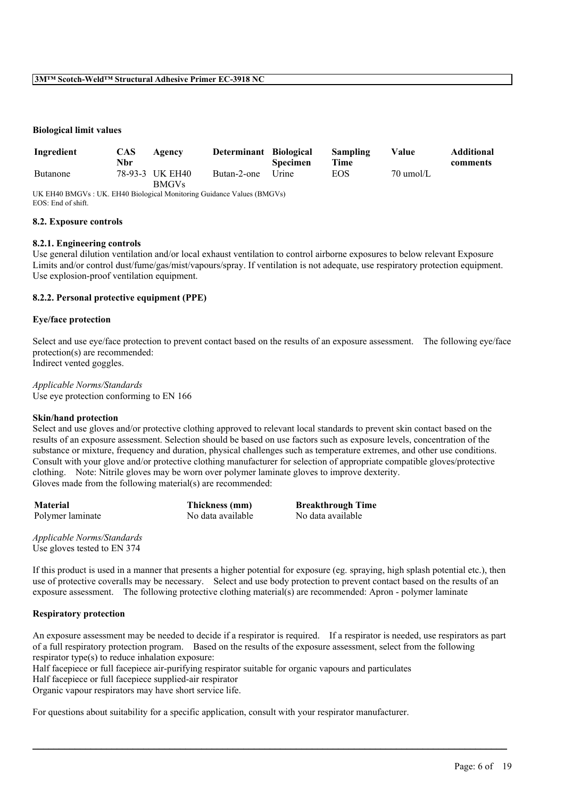#### **Biological limit values**

| Ingredient | <b>CAS</b><br>Nbr | Agency                          | Determinant Biological | <b>Specimen</b> | Sampling<br>Time | Value               | <b>Additional</b><br>comments |
|------------|-------------------|---------------------------------|------------------------|-----------------|------------------|---------------------|-------------------------------|
| Butanone   |                   | 78-93-3 UK EH40<br><b>BMGVs</b> | Butan-2-one            | <b>Urine</b>    | EOS              | $70 \text{ umol/L}$ |                               |

UK EH40 BMGVs : UK. EH40 Biological Monitoring Guidance Values (BMGVs) EOS: End of shift.

#### **8.2. Exposure controls**

#### **8.2.1. Engineering controls**

Use general dilution ventilation and/or local exhaust ventilation to control airborne exposures to below relevant Exposure Limits and/or control dust/fume/gas/mist/vapours/spray. If ventilation is not adequate, use respiratory protection equipment. Use explosion-proof ventilation equipment.

#### **8.2.2. Personal protective equipment (PPE)**

#### **Eye/face protection**

Select and use eye/face protection to prevent contact based on the results of an exposure assessment. The following eye/face protection(s) are recommended: Indirect vented goggles.

#### *Applicable Norms/Standards*

Use eye protection conforming to EN 166

#### **Skin/hand protection**

Select and use gloves and/or protective clothing approved to relevant local standards to prevent skin contact based on the results of an exposure assessment. Selection should be based on use factors such as exposure levels, concentration of the substance or mixture, frequency and duration, physical challenges such as temperature extremes, and other use conditions. Consult with your glove and/or protective clothing manufacturer for selection of appropriate compatible gloves/protective clothing. Note: Nitrile gloves may be worn over polymer laminate gloves to improve dexterity. Gloves made from the following material(s) are recommended:

Polymer laminate No data available

**Material Thickness (mm) Breakthrough Time**<br> **No data available No data available No data available** 

*Applicable Norms/Standards* Use gloves tested to EN 374

If this product is used in a manner that presents a higher potential for exposure (eg. spraying, high splash potential etc.), then use of protective coveralls may be necessary. Select and use body protection to prevent contact based on the results of an exposure assessment. The following protective clothing material(s) are recommended: Apron - polymer laminate

#### **Respiratory protection**

An exposure assessment may be needed to decide if a respirator is required. If a respirator is needed, use respirators as part of a full respiratory protection program. Based on the results of the exposure assessment, select from the following respirator type(s) to reduce inhalation exposure:

 $\mathcal{L}_\mathcal{L} = \mathcal{L}_\mathcal{L} = \mathcal{L}_\mathcal{L} = \mathcal{L}_\mathcal{L} = \mathcal{L}_\mathcal{L} = \mathcal{L}_\mathcal{L} = \mathcal{L}_\mathcal{L} = \mathcal{L}_\mathcal{L} = \mathcal{L}_\mathcal{L} = \mathcal{L}_\mathcal{L} = \mathcal{L}_\mathcal{L} = \mathcal{L}_\mathcal{L} = \mathcal{L}_\mathcal{L} = \mathcal{L}_\mathcal{L} = \mathcal{L}_\mathcal{L} = \mathcal{L}_\mathcal{L} = \mathcal{L}_\mathcal{L}$ 

Half facepiece or full facepiece air-purifying respirator suitable for organic vapours and particulates

Half facepiece or full facepiece supplied-air respirator

Organic vapour respirators may have short service life.

For questions about suitability for a specific application, consult with your respirator manufacturer.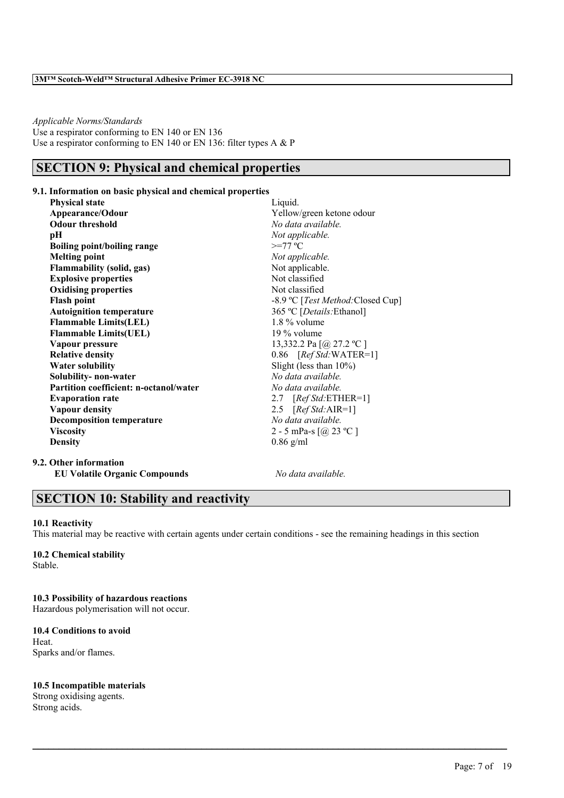*Applicable Norms/Standards* Use a respirator conforming to EN 140 or EN 136 Use a respirator conforming to EN 140 or EN 136: filter types A & P

# **SECTION 9: Physical and chemical properties**

#### **9.1. Information on basic physical and chemical properties**

**Physical state** Liquid. **Appearance/Odour** Yellow/green ketone odour **Odour threshold** *No data available.* **pH** *Not applicable.*<br> **Boiling point/boiling range**  $\geq$ =77 °C  $B$ oiling point/boiling range **Melting point** *Not applicable.* **Flammability (solid, gas)** Not applicable.<br> **Fixalosive properties** Not classified **Explosive** properties **Oxidising properties** Not classified **Flash point** -8.9 ºC [*Test Method:*Closed Cup] **Autoignition temperature** 365 ºC [*Details:*Ethanol] **Flammable Limits(LEL)** 1.8% volume **Flammable Limits(UEL)** 19 % volume **Vapour pressure** 13,332.2 Pa [@ 27.2 °C ]<br> **Relative density** 0.86 [Ref Std:WATER= 0.86 [*Ref Std:* WATER=1] **Water solubility** Slight (less than 10%) **Solubility- non-water** *No data available.* **Partition coefficient: n-octanol/water** *No data available.* **Evaporation rate** 2.7 [*Ref Std:*ETHER=1] **Vapour density** 2.5 [*Ref Std:*AIR=1] **Decomposition temperature** *No data available.* **Viscosity** 2 - 5 mPa-s  $\lceil \omega \rceil$  23 °C ] **Density** 0.86 g/ml

**9.2. Other information EU Volatile Organic Compounds** *No data available.*

### **SECTION 10: Stability and reactivity**

#### **10.1 Reactivity**

This material may be reactive with certain agents under certain conditions - see the remaining headings in this section

 $\mathcal{L}_\mathcal{L} = \mathcal{L}_\mathcal{L} = \mathcal{L}_\mathcal{L} = \mathcal{L}_\mathcal{L} = \mathcal{L}_\mathcal{L} = \mathcal{L}_\mathcal{L} = \mathcal{L}_\mathcal{L} = \mathcal{L}_\mathcal{L} = \mathcal{L}_\mathcal{L} = \mathcal{L}_\mathcal{L} = \mathcal{L}_\mathcal{L} = \mathcal{L}_\mathcal{L} = \mathcal{L}_\mathcal{L} = \mathcal{L}_\mathcal{L} = \mathcal{L}_\mathcal{L} = \mathcal{L}_\mathcal{L} = \mathcal{L}_\mathcal{L}$ 

# **10.2 Chemical stability**

Stable.

### **10.3 Possibility of hazardous reactions**

Hazardous polymerisation will not occur.

#### **10.4 Conditions to avoid Heat** Sparks and/or flames.

### **10.5 Incompatible materials**

Strong oxidising agents. Strong acids.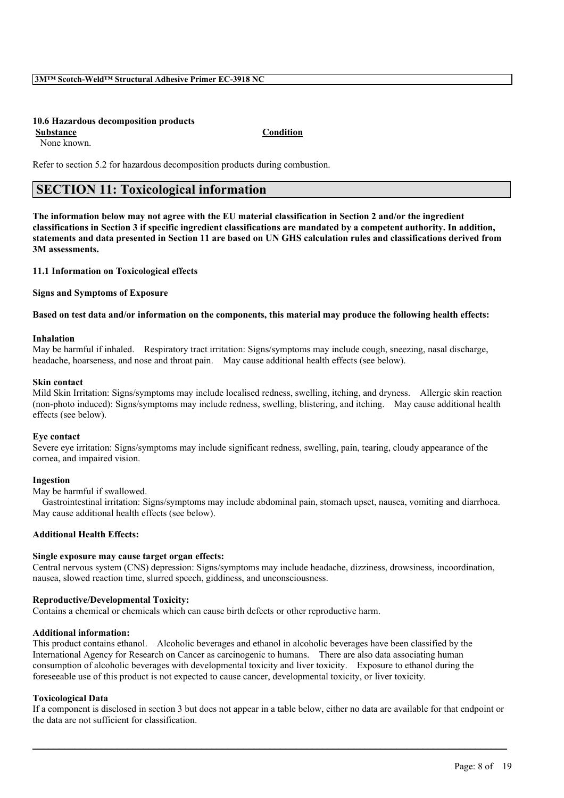#### **10.6 Hazardous decomposition products**

None known.

**Substance Condition**

Refer to section 5.2 for hazardous decomposition products during combustion.

# **SECTION 11: Toxicological information**

The information below may not agree with the EU material classification in Section 2 and/or the ingredient classifications in Section 3 if specific ingredient classifications are mandated by a competent authority. In addition, statements and data presented in Section 11 are based on UN GHS calculation rules and classifications derived from **3M assessments.**

#### **11.1 Information on Toxicological effects**

**Signs and Symptoms of Exposure**

#### Based on test data and/or information on the components, this material may produce the following health effects:

#### **Inhalation**

May be harmful if inhaled. Respiratory tract irritation: Signs/symptoms may include cough, sneezing, nasal discharge, headache, hoarseness, and nose and throat pain. May cause additional health effects (see below).

#### **Skin contact**

Mild Skin Irritation: Signs/symptoms may include localised redness, swelling, itching, and dryness. Allergic skin reaction (non-photo induced): Signs/symptoms may include redness, swelling, blistering, and itching. May cause additional health effects (see below).

#### **Eye contact**

Severe eye irritation: Signs/symptoms may include significant redness, swelling, pain, tearing, cloudy appearance of the cornea, and impaired vision.

#### **Ingestion**

May be harmful if swallowed.

Gastrointestinal irritation: Signs/symptoms may include abdominal pain, stomach upset, nausea, vomiting and diarrhoea. May cause additional health effects (see below).

#### **Additional Health Effects:**

#### **Single exposure may cause target organ effects:**

Central nervous system (CNS) depression: Signs/symptoms may include headache, dizziness, drowsiness, incoordination, nausea, slowed reaction time, slurred speech, giddiness, and unconsciousness.

#### **Reproductive/Developmental Toxicity:**

Contains a chemical or chemicals which can cause birth defects or other reproductive harm.

#### **Additional information:**

This product contains ethanol. Alcoholic beverages and ethanol in alcoholic beverages have been classified by the International Agency for Research on Cancer as carcinogenic to humans. There are also data associating human consumption of alcoholic beverages with developmental toxicity and liver toxicity. Exposure to ethanol during the foreseeable use of this product is not expected to cause cancer, developmental toxicity, or liver toxicity.

#### **Toxicological Data**

If a component is disclosed in section 3 but does not appear in a table below, either no data are available for that endpoint or the data are not sufficient for classification.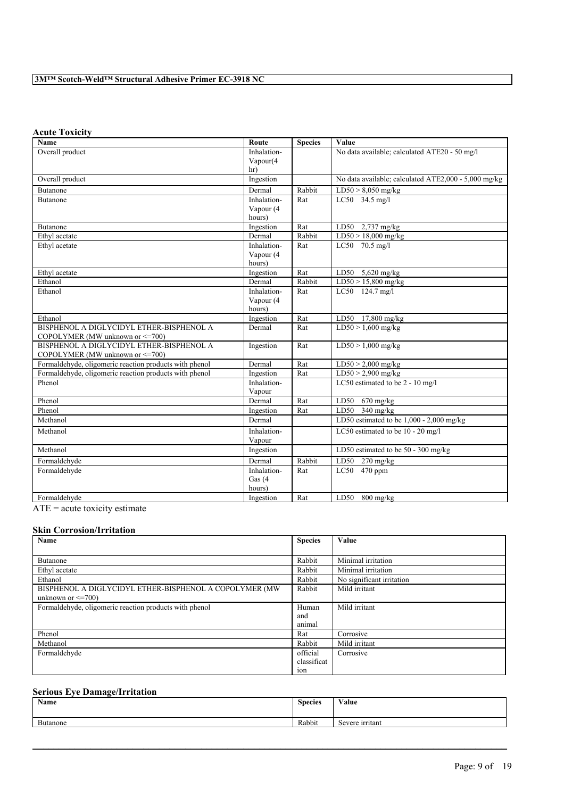### **Acute Toxicity**

| <b>Name</b>                                                                  | Route       | <b>Species</b> | Value                                                |
|------------------------------------------------------------------------------|-------------|----------------|------------------------------------------------------|
| Overall product                                                              | Inhalation- |                | No data available; calculated ATE20 - 50 mg/l        |
|                                                                              | Vapour(4    |                |                                                      |
|                                                                              | hr)         |                |                                                      |
| Overall product                                                              | Ingestion   |                | No data available; calculated ATE2,000 - 5,000 mg/kg |
| Butanone                                                                     | Dermal      | Rabbit         | $LD50 > 8,050$ mg/kg                                 |
| <b>Butanone</b>                                                              | Inhalation- | Rat            | LC50 34.5 mg/l                                       |
|                                                                              | Vapour (4   |                |                                                      |
|                                                                              | hours)      |                |                                                      |
| Butanone                                                                     | Ingestion   | Rat            | LD50 $2,737$ mg/kg                                   |
| Ethyl acetate                                                                | Dermal      | Rabbit         | $LD50 > 18,000$ mg/kg                                |
| Ethyl acetate                                                                | Inhalation- | Rat            | LC50 70.5 mg/l                                       |
|                                                                              | Vapour (4   |                |                                                      |
|                                                                              | hours)      |                |                                                      |
| Ethyl acetate                                                                | Ingestion   | Rat            | $LD50$ 5,620 mg/kg                                   |
| Ethanol                                                                      | Dermal      | Rabbit         | LD50 > 15,800 mg/kg                                  |
| Ethanol                                                                      | Inhalation- | Rat            | LC50 124.7 mg/l                                      |
|                                                                              | Vapour (4   |                |                                                      |
| Ethanol                                                                      | hours)      |                |                                                      |
| BISPHENOL A DIGLYCIDYL ETHER-BISPHENOL A                                     | Ingestion   | Rat            | LD50 17,800 mg/kg                                    |
| COPOLYMER (MW unknown or <= 700)                                             | Dermal      | Rat            | $LD50 > 1,600$ mg/kg                                 |
| BISPHENOL A DIGLYCIDYL ETHER-BISPHENOL A<br>COPOLYMER (MW unknown or <= 700) | Ingestion   | Rat            | $LD50 > 1,000$ mg/kg                                 |
| Formaldehyde, oligomeric reaction products with phenol                       | Dermal      | Rat            | $LD50 > 2,000$ mg/kg                                 |
| Formaldehyde, oligomeric reaction products with phenol                       | Ingestion   | Rat            | $LD50 > 2,900$ mg/kg                                 |
| Phenol                                                                       | Inhalation- |                | LC50 estimated to be 2 - 10 mg/l                     |
|                                                                              | Vapour      |                |                                                      |
| Phenol                                                                       | Dermal      | Rat            | $670 \frac{\text{mg}}{\text{kg}}$<br>LD50            |
| Phenol                                                                       | Ingestion   | Rat            | LD50 $340$ mg/kg                                     |
| Methanol                                                                     | Dermal      |                | LD50 estimated to be $1,000 - 2,000$ mg/kg           |
| Methanol                                                                     | Inhalation- |                | LC50 estimated to be 10 - 20 mg/l                    |
|                                                                              | Vapour      |                |                                                      |
| Methanol                                                                     | Ingestion   |                | LD50 estimated to be $50 - 300$ mg/kg                |
| Formaldehyde                                                                 | Dermal      | Rabbit         | LD50<br>$270$ mg/kg                                  |
| Formaldehyde                                                                 | Inhalation- | Rat            | $LC50$ 470 ppm                                       |
|                                                                              | Gas $(4)$   |                |                                                      |
|                                                                              | hours)      |                |                                                      |
| Formaldehyde                                                                 | Ingestion   | Rat            | LD50<br>$800$ mg/kg                                  |

 $\overline{ATE}$  = acute toxicity estimate

### **Skin Corrosion/Irritation**

| Name                                                   | <b>Species</b>  | Value                     |
|--------------------------------------------------------|-----------------|---------------------------|
|                                                        |                 |                           |
| Butanone                                               | Rabbit          | Minimal irritation        |
| Ethyl acetate                                          | Rabbit          | Minimal irritation        |
| Ethanol                                                | Rabbit          | No significant irritation |
| BISPHENOL A DIGLYCIDYL ETHER-BISPHENOL A COPOLYMER (MW | Rabbit          | Mild irritant             |
| unknown or $\leq$ =700)                                |                 |                           |
| Formaldehyde, oligomeric reaction products with phenol | Human           | Mild irritant             |
|                                                        | and             |                           |
|                                                        | animal          |                           |
| Phenol                                                 | Rat             | Corrosive                 |
| Methanol                                               | Rabbit          | Mild irritant             |
| Formaldehyde                                           | official        | Corrosive                 |
|                                                        | classificat     |                           |
|                                                        | 10 <sub>n</sub> |                           |

### **Serious Eye Damage/Irritation**

| <b>Name</b> | <b>Species</b> | Value           |
|-------------|----------------|-----------------|
| Butanone    | Rabbit         | Severe irritant |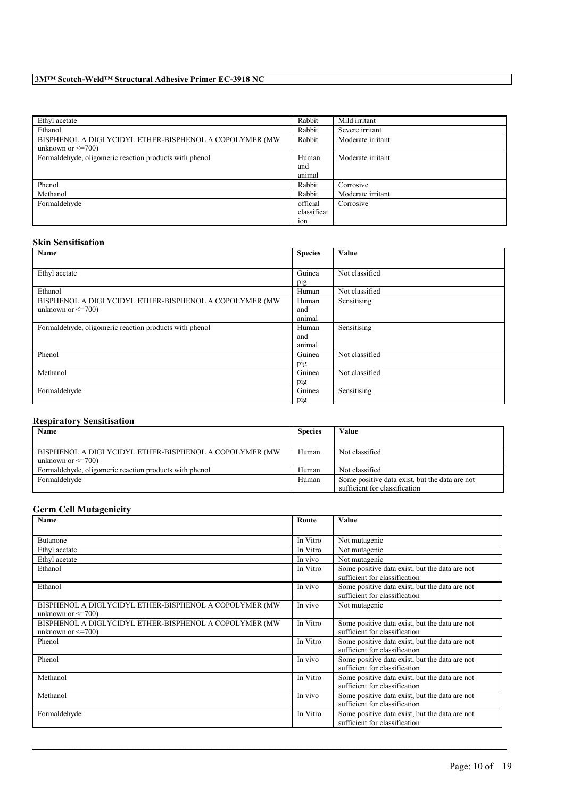| Ethyl acetate                                           | Rabbit      | Mild irritant     |
|---------------------------------------------------------|-------------|-------------------|
| Ethanol                                                 | Rabbit      | Severe irritant   |
| BISPHENOL A DIGLYCIDYL ETHER-BISPHENOL A COPOLYMER (MW) | Rabbit      | Moderate irritant |
| unknown or $\leq$ =700)                                 |             |                   |
| Formaldehyde, oligomeric reaction products with phenol  | Human       | Moderate irritant |
|                                                         | and         |                   |
|                                                         | animal      |                   |
| Phenol                                                  | Rabbit      | Corrosive         |
| Methanol                                                | Rabbit      | Moderate irritant |
| Formaldehyde                                            | official    | Corrosive         |
|                                                         | classificat |                   |
|                                                         | ion         |                   |

#### **Skin Sensitisation**

| Name                                                   | <b>Species</b> | Value          |
|--------------------------------------------------------|----------------|----------------|
|                                                        |                |                |
| Ethyl acetate                                          | Guinea         | Not classified |
|                                                        | pig            |                |
| Ethanol                                                | Human          | Not classified |
| BISPHENOL A DIGLYCIDYL ETHER-BISPHENOL A COPOLYMER (MW | Human          | Sensitising    |
| unknown or $\leq$ =700)                                | and            |                |
|                                                        | animal         |                |
| Formaldehyde, oligomeric reaction products with phenol | Human          | Sensitising    |
|                                                        | and            |                |
|                                                        | animal         |                |
| Phenol                                                 | Guinea         | Not classified |
|                                                        | pig            |                |
| Methanol                                               | Guinea         | Not classified |
|                                                        | pig            |                |
| Formaldehyde                                           | Guinea         | Sensitising    |
|                                                        | pig            |                |

### **Respiratory Sensitisation**

| Name                                                    | <b>Species</b> | Value                                          |
|---------------------------------------------------------|----------------|------------------------------------------------|
|                                                         |                |                                                |
| BISPHENOL A DIGLYCIDYL ETHER-BISPHENOL A COPOLYMER (MW) | Human          | Not classified                                 |
| unknown or $\leq$ =700)                                 |                |                                                |
| Formaldehyde, oligomeric reaction products with phenol  | Human          | Not classified                                 |
| Formaldehyde                                            | Human          | Some positive data exist, but the data are not |
|                                                         |                | sufficient for classification                  |

### **Germ Cell Mutagenicity**

| Name                                                                              | Route    | <b>Value</b>                                                                    |
|-----------------------------------------------------------------------------------|----------|---------------------------------------------------------------------------------|
|                                                                                   |          |                                                                                 |
| Butanone                                                                          | In Vitro | Not mutagenic                                                                   |
| Ethyl acetate                                                                     | In Vitro | Not mutagenic                                                                   |
| Ethyl acetate                                                                     | In vivo  | Not mutagenic                                                                   |
| Ethanol                                                                           | In Vitro | Some positive data exist, but the data are not<br>sufficient for classification |
| Ethanol                                                                           | In vivo  | Some positive data exist, but the data are not<br>sufficient for classification |
| BISPHENOL A DIGLYCIDYL ETHER-BISPHENOL A COPOLYMER (MW<br>unknown or $\leq$ =700) | In vivo  | Not mutagenic                                                                   |
| BISPHENOL A DIGLYCIDYL ETHER-BISPHENOL A COPOLYMER (MW                            | In Vitro | Some positive data exist, but the data are not                                  |
| unknown or $\leq$ =700)                                                           |          | sufficient for classification                                                   |
| Phenol                                                                            | In Vitro | Some positive data exist, but the data are not                                  |
|                                                                                   |          | sufficient for classification                                                   |
| Phenol                                                                            | In vivo  | Some positive data exist, but the data are not                                  |
|                                                                                   |          | sufficient for classification                                                   |
| Methanol                                                                          | In Vitro | Some positive data exist, but the data are not                                  |
|                                                                                   |          | sufficient for classification                                                   |
| Methanol                                                                          | In vivo  | Some positive data exist, but the data are not                                  |
|                                                                                   |          | sufficient for classification                                                   |
| Formaldehyde                                                                      | In Vitro | Some positive data exist, but the data are not                                  |
|                                                                                   |          | sufficient for classification                                                   |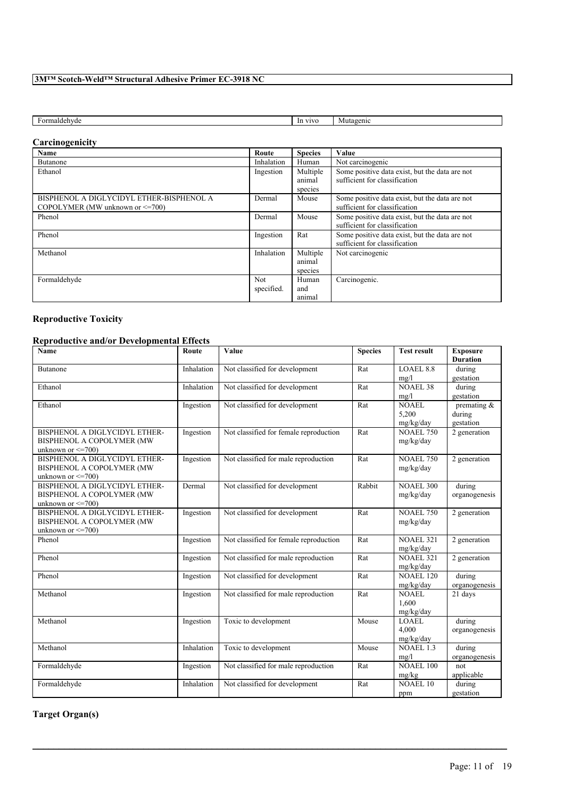| $H\Omega$<br>maldehyde<br>uc/ | VIVO<br>-In<br>. . | lutagenic |
|-------------------------------|--------------------|-----------|

### **Carcinogenicity**

| Name                                     | Route      | <b>Species</b> | Value                                          |
|------------------------------------------|------------|----------------|------------------------------------------------|
| Butanone                                 | Inhalation | Human          | Not carcinogenic                               |
| Ethanol                                  | Ingestion  | Multiple       | Some positive data exist, but the data are not |
|                                          |            | animal         | sufficient for classification                  |
|                                          |            | species        |                                                |
| BISPHENOL A DIGLYCIDYL ETHER-BISPHENOL A | Dermal     | Mouse          | Some positive data exist, but the data are not |
| COPOLYMER (MW unknown or $\leq$ =700)    |            |                | sufficient for classification                  |
| Phenol                                   | Dermal     | Mouse          | Some positive data exist, but the data are not |
|                                          |            |                | sufficient for classification                  |
| Phenol                                   | Ingestion  | Rat            | Some positive data exist, but the data are not |
|                                          |            |                | sufficient for classification                  |
| Methanol                                 | Inhalation | Multiple       | Not carcinogenic                               |
|                                          |            | animal         |                                                |
|                                          |            | species        |                                                |
| Formaldehyde                             | <b>Not</b> | Human          | Carcinogenic.                                  |
|                                          | specified. | and            |                                                |
|                                          |            | animal         |                                                |

# **Reproductive Toxicity**

# **Reproductive and/or Developmental Effects**

| <b>Name</b>                                                                           | Route      | Value                                  | <b>Species</b> | <b>Test result</b>                         | <b>Exposure</b><br><b>Duration</b> |
|---------------------------------------------------------------------------------------|------------|----------------------------------------|----------------|--------------------------------------------|------------------------------------|
| Butanone                                                                              | Inhalation | Not classified for development         | Rat            | <b>LOAEL 8.8</b><br>mg/l                   | during<br>gestation                |
| Ethanol                                                                               | Inhalation | Not classified for development         | Rat            | <b>NOAEL 38</b><br>mg/l                    | during<br>gestation                |
| Ethanol                                                                               | Ingestion  | Not classified for development         | Rat            | NOAEL<br>5,200<br>mg/kg/day                | premating &<br>during<br>gestation |
| BISPHENOL A DIGLYCIDYL ETHER-<br>BISPHENOL A COPOLYMER (MW<br>unknown or $\leq$ =700) | Ingestion  | Not classified for female reproduction | Rat            | <b>NOAEL 750</b><br>mg/kg/day              | 2 generation                       |
| BISPHENOL A DIGLYCIDYL ETHER-<br>BISPHENOL A COPOLYMER (MW<br>unknown or $\leq$ =700) | Ingestion  | Not classified for male reproduction   | Rat            | <b>NOAEL 750</b><br>mg/kg/day              | 2 generation                       |
| BISPHENOL A DIGLYCIDYL ETHER-<br>BISPHENOL A COPOLYMER (MW<br>unknown or $\leq$ =700) | Dermal     | Not classified for development         | Rabbit         | <b>NOAEL 300</b><br>mg/kg/day              | during<br>organogenesis            |
| BISPHENOL A DIGLYCIDYL ETHER-<br>BISPHENOL A COPOLYMER (MW<br>unknown or $\leq$ =700) | Ingestion  | Not classified for development         | Rat            | <b>NOAEL 750</b><br>mg/kg/day              | 2 generation                       |
| Phenol                                                                                | Ingestion  | Not classified for female reproduction | Rat            | <b>NOAEL 321</b><br>mg/kg/day              | 2 generation                       |
| Phenol                                                                                | Ingestion  | Not classified for male reproduction   | Rat            | <b>NOAEL 321</b><br>mg/kg/day              | 2 generation                       |
| Phenol                                                                                | Ingestion  | Not classified for development         | Rat            | $\overline{\text{NOAEL}}$ 120<br>mg/kg/day | during<br>organogenesis            |
| Methanol                                                                              | Ingestion  | Not classified for male reproduction   | Rat            | <b>NOAEL</b><br>1.600<br>mg/kg/day         | 21 days                            |
| Methanol                                                                              | Ingestion  | Toxic to development                   | Mouse          | <b>LOAEL</b><br>4.000<br>mg/kg/day         | during<br>organogenesis            |
| Methanol                                                                              | Inhalation | Toxic to development                   | Mouse          | <b>NOAEL 1.3</b><br>mg/l                   | during<br>organogenesis            |
| Formaldehyde                                                                          | Ingestion  | Not classified for male reproduction   | Rat            | <b>NOAEL 100</b><br>mg/kg                  | not<br>applicable                  |
| Formaldehyde                                                                          | Inhalation | Not classified for development         | Rat            | <b>NOAEL 10</b><br>ppm                     | during<br>gestation                |

 $\mathcal{L}_\mathcal{L} = \mathcal{L}_\mathcal{L} = \mathcal{L}_\mathcal{L} = \mathcal{L}_\mathcal{L} = \mathcal{L}_\mathcal{L} = \mathcal{L}_\mathcal{L} = \mathcal{L}_\mathcal{L} = \mathcal{L}_\mathcal{L} = \mathcal{L}_\mathcal{L} = \mathcal{L}_\mathcal{L} = \mathcal{L}_\mathcal{L} = \mathcal{L}_\mathcal{L} = \mathcal{L}_\mathcal{L} = \mathcal{L}_\mathcal{L} = \mathcal{L}_\mathcal{L} = \mathcal{L}_\mathcal{L} = \mathcal{L}_\mathcal{L}$ 

**Target Organ(s)**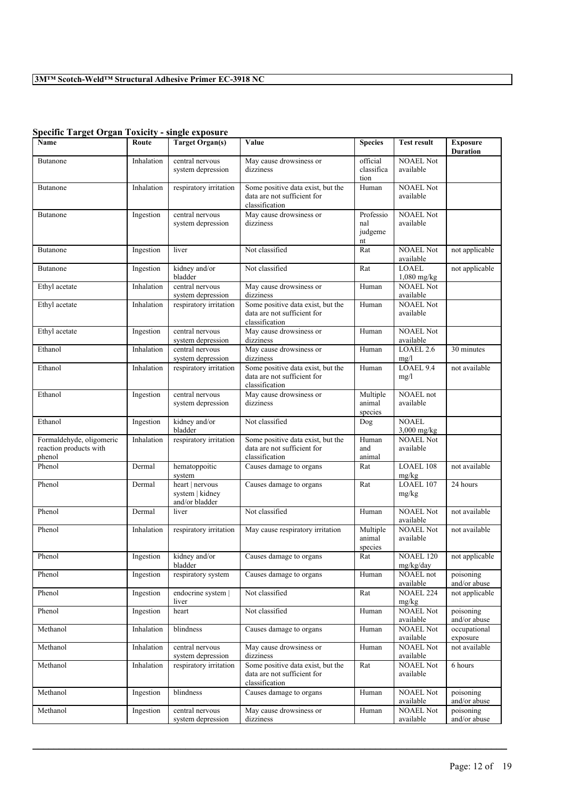| $\beta$ peeme Target Organ Toxicity - single exposure        |            |                                                      |                                                                                    |                                                         |                               |                                    |
|--------------------------------------------------------------|------------|------------------------------------------------------|------------------------------------------------------------------------------------|---------------------------------------------------------|-------------------------------|------------------------------------|
| Name                                                         | Route      | <b>Target Organ(s)</b>                               | Value                                                                              | <b>Species</b>                                          | <b>Test result</b>            | <b>Exposure</b><br><b>Duration</b> |
| Butanone                                                     | Inhalation | central nervous<br>system depression                 | May cause drowsiness or<br>dizziness                                               | official<br>classifica<br>tion                          | <b>NOAEL Not</b><br>available |                                    |
| Butanone                                                     | Inhalation | respiratory irritation                               | Some positive data exist, but the<br>data are not sufficient for<br>classification | Human                                                   | <b>NOAEL Not</b><br>available |                                    |
| Butanone                                                     | Ingestion  | central nervous<br>system depression                 | May cause drowsiness or<br>dizziness                                               | Professio<br>nal<br>judgeme<br>$\mathop{\hbox{\rm nt}}$ | <b>NOAEL Not</b><br>available |                                    |
| Butanone                                                     | Ingestion  | liver                                                | Not classified                                                                     | Rat                                                     | <b>NOAEL Not</b><br>available | not applicable                     |
| Butanone                                                     | Ingestion  | kidney and/or<br>bladder                             | Not classified                                                                     | Rat                                                     | <b>LOAEL</b><br>1,080 mg/kg   | not applicable                     |
| Ethyl acetate                                                | Inhalation | central nervous<br>system depression                 | May cause drowsiness or<br>dizziness                                               | Human                                                   | <b>NOAEL Not</b><br>available |                                    |
| Ethyl acetate                                                | Inhalation | respiratory irritation                               | Some positive data exist, but the<br>data are not sufficient for<br>classification | Human                                                   | <b>NOAEL Not</b><br>available |                                    |
| Ethyl acetate                                                | Ingestion  | central nervous<br>system depression                 | May cause drowsiness or<br>dizziness                                               | Human                                                   | <b>NOAEL Not</b><br>available |                                    |
| Ethanol                                                      | Inhalation | central nervous<br>system depression                 | May cause drowsiness or<br>dizziness                                               | Human                                                   | LOAEL <sub>2.6</sub><br>mg/l  | 30 minutes                         |
| Ethanol                                                      | Inhalation | respiratory irritation                               | Some positive data exist, but the<br>data are not sufficient for<br>classification | Human                                                   | LOAEL 9.4<br>mg/l             | not available                      |
| Ethanol                                                      | Ingestion  | central nervous<br>system depression                 | May cause drowsiness or<br>dizziness                                               | Multiple<br>animal<br>species                           | NOAEL not<br>available        |                                    |
| Ethanol                                                      | Ingestion  | kidney and/or<br>bladder                             | Not classified                                                                     | Dog                                                     | <b>NOAEL</b><br>3,000 mg/kg   |                                    |
| Formaldehyde, oligomeric<br>reaction products with<br>phenol | Inhalation | respiratory irritation                               | Some positive data exist, but the<br>data are not sufficient for<br>classification | Human<br>and<br>animal                                  | <b>NOAEL Not</b><br>available |                                    |
| Phenol                                                       | Dermal     | hematoppoitic<br>system                              | Causes damage to organs                                                            | Rat                                                     | <b>LOAEL 108</b><br>mg/kg     | not available                      |
| Phenol                                                       | Dermal     | heart   nervous<br>system   kidney<br>and/or bladder | Causes damage to organs                                                            | Rat                                                     | LOAEL 107<br>mg/kg            | 24 hours                           |
| Phenol                                                       | Dermal     | liver                                                | Not classified                                                                     | Human                                                   | <b>NOAEL Not</b><br>available | not available                      |
| Phenol                                                       | Inhalation | respiratory irritation                               | May cause respiratory irritation                                                   | Multiple<br>animal<br>species                           | <b>NOAEL Not</b><br>available | not available                      |
| Phenol                                                       | Ingestion  | kidney and/or<br>bladder                             | Causes damage to organs                                                            | Rat                                                     | NOAEL $120$<br>mg/kg/day      | not applicable                     |
| Phenol                                                       | Ingestion  | respiratory system                                   | Causes damage to organs                                                            | Human                                                   | NOAEL not<br>available        | poisoning<br>and/or abuse          |
| Phenol                                                       | Ingestion  | endocrine system  <br>liver                          | Not classified                                                                     | Rat                                                     | <b>NOAEL 224</b><br>mg/kg     | not applicable                     |
| Phenol                                                       | Ingestion  | heart                                                | Not classified                                                                     | Human                                                   | <b>NOAEL Not</b><br>available | poisoning<br>and/or abuse          |
| Methanol                                                     | Inhalation | blindness                                            | Causes damage to organs                                                            | Human                                                   | <b>NOAEL Not</b><br>available | occupational<br>exposure           |
| Methanol                                                     | Inhalation | central nervous<br>system depression                 | May cause drowsiness or<br>dizziness                                               | Human                                                   | <b>NOAEL Not</b><br>available | not available                      |
| Methanol                                                     | Inhalation | respiratory irritation                               | Some positive data exist, but the<br>data are not sufficient for<br>classification | Rat                                                     | NOAEL Not<br>available        | 6 hours                            |
| Methanol                                                     | Ingestion  | blindness                                            | Causes damage to organs                                                            | Human                                                   | <b>NOAEL Not</b><br>available | poisoning<br>and/or abuse          |
| Methanol                                                     | Ingestion  | central nervous<br>system depression                 | May cause drowsiness or<br>dizziness                                               | Human                                                   | <b>NOAEL Not</b><br>available | poisoning<br>and/or abuse          |

 $\mathcal{L}_\mathcal{L} = \mathcal{L}_\mathcal{L} = \mathcal{L}_\mathcal{L} = \mathcal{L}_\mathcal{L} = \mathcal{L}_\mathcal{L} = \mathcal{L}_\mathcal{L} = \mathcal{L}_\mathcal{L} = \mathcal{L}_\mathcal{L} = \mathcal{L}_\mathcal{L} = \mathcal{L}_\mathcal{L} = \mathcal{L}_\mathcal{L} = \mathcal{L}_\mathcal{L} = \mathcal{L}_\mathcal{L} = \mathcal{L}_\mathcal{L} = \mathcal{L}_\mathcal{L} = \mathcal{L}_\mathcal{L} = \mathcal{L}_\mathcal{L}$ 

### **Specific Target Organ Toxicity - single exposure**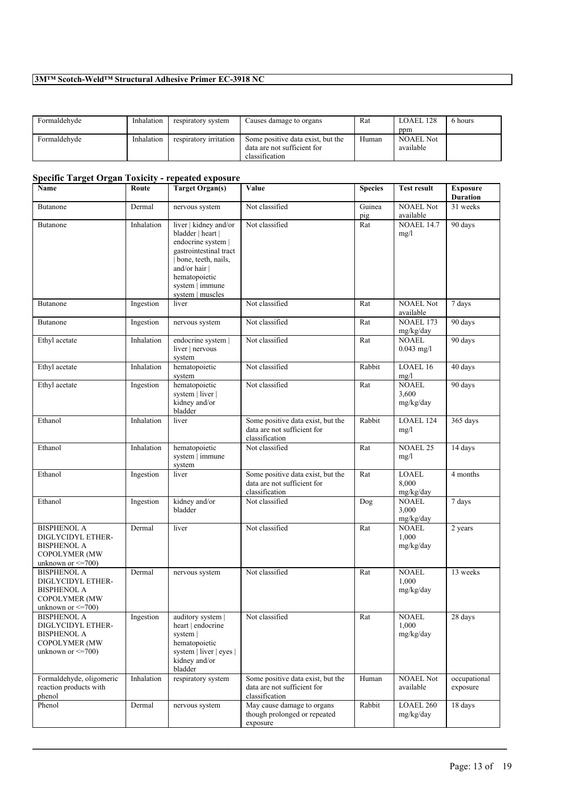| Formaldehyde | Inhalation | respiratory system     | Causes damage to organs           | Rat   | $LOAEL$ 128      | 6 hours |
|--------------|------------|------------------------|-----------------------------------|-------|------------------|---------|
|              |            |                        |                                   |       | ppm              |         |
| Formaldehyde | Inhalation | respiratory irritation | Some positive data exist, but the | Human | <b>NOAEL Not</b> |         |
|              |            |                        | data are not sufficient for       |       | available        |         |
|              |            |                        | classification                    |       |                  |         |

### **Specific Target Organ Toxicity - repeated exposure**

| Name                                                                                                              | Route      | <b>Target Organ(s)</b>                                                                                                                                                                   | Value                                                                              | <b>Species</b> | <b>Test result</b>                 | <b>Exposure</b><br><b>Duration</b> |
|-------------------------------------------------------------------------------------------------------------------|------------|------------------------------------------------------------------------------------------------------------------------------------------------------------------------------------------|------------------------------------------------------------------------------------|----------------|------------------------------------|------------------------------------|
| Butanone                                                                                                          | Dermal     | nervous system                                                                                                                                                                           | Not classified                                                                     | Guinea<br>pig  | <b>NOAEL Not</b><br>available      | 31 weeks                           |
| Butanone                                                                                                          | Inhalation | liver   kidney and/or<br>bladder   heart  <br>endocrine system  <br>gastrointestinal tract<br>bone, teeth, nails,<br>and/or hair<br>hematopoietic<br>system   immune<br>system   muscles | Not classified                                                                     | Rat            | <b>NOAEL 14.7</b><br>mg/l          | 90 days                            |
| Butanone                                                                                                          | Ingestion  | liver                                                                                                                                                                                    | Not classified                                                                     | Rat            | <b>NOAEL Not</b><br>available      | 7 days                             |
| <b>Butanone</b>                                                                                                   | Ingestion  | nervous system                                                                                                                                                                           | Not classified                                                                     | Rat            | NOAEL 173<br>mg/kg/day             | 90 days                            |
| Ethyl acetate                                                                                                     | Inhalation | endocrine system  <br>liver   nervous<br>system                                                                                                                                          | Not classified                                                                     | Rat            | <b>NOAEL</b><br>$0.043$ mg/l       | 90 days                            |
| Ethyl acetate                                                                                                     | Inhalation | hematopoietic<br>system                                                                                                                                                                  | Not classified                                                                     | Rabbit         | LOAEL 16<br>mg/l                   | 40 days                            |
| Ethyl acetate                                                                                                     | Ingestion  | hematopoietic<br>system   liver  <br>kidney and/or<br>bladder                                                                                                                            | Not classified                                                                     | Rat            | <b>NOAEL</b><br>3,600<br>mg/kg/day | 90 days                            |
| Ethanol                                                                                                           | Inhalation | liver                                                                                                                                                                                    | Some positive data exist, but the<br>data are not sufficient for<br>classification | Rabbit         | LOAEL 124<br>mg/l                  | 365 days                           |
| Ethanol                                                                                                           | Inhalation | hematopoietic<br>system   immune<br>system                                                                                                                                               | Not classified                                                                     | Rat            | <b>NOAEL 25</b><br>mg/l            | 14 days                            |
| Ethanol                                                                                                           | Ingestion  | liver                                                                                                                                                                                    | Some positive data exist, but the<br>data are not sufficient for<br>classification | Rat            | <b>LOAEL</b><br>8,000<br>mg/kg/day | 4 months                           |
| Ethanol                                                                                                           | Ingestion  | kidney and/or<br>bladder                                                                                                                                                                 | Not classified                                                                     | Dog            | <b>NOAEL</b><br>3.000<br>mg/kg/day | 7 days                             |
| <b>BISPHENOL A</b><br>DIGLYCIDYL ETHER-<br><b>BISPHENOL A</b><br><b>COPOLYMER (MW)</b><br>unknown or $\leq$ 700)  | Dermal     | liver                                                                                                                                                                                    | Not classified                                                                     | Rat            | <b>NOAEL</b><br>1,000<br>mg/kg/day | 2 years                            |
| <b>BISPHENOL A</b><br>DIGLYCIDYL ETHER-<br><b>BISPHENOL A</b><br><b>COPOLYMER (MW</b><br>unknown or $\leq$ 700)   | Dermal     | nervous system                                                                                                                                                                           | Not classified                                                                     | Rat            | <b>NOAEL</b><br>1,000<br>mg/kg/day | 13 weeks                           |
| <b>BISPHENOL A</b><br>DIGLYCIDYL ETHER-<br><b>BISPHENOL A</b><br><b>COPOLYMER (MW)</b><br>unknown or $\leq$ =700) | Ingestion  | auditory system  <br>heart   endocrine<br>system  <br>hematopoietic<br>system   liver   eyes  <br>kidney and/or<br>bladder                                                               | Not classified                                                                     | Rat            | <b>NOAEL</b><br>1,000<br>mg/kg/day | 28 days                            |
| Formaldehyde, oligomeric<br>reaction products with<br>phenol                                                      | Inhalation | respiratory system                                                                                                                                                                       | Some positive data exist, but the<br>data are not sufficient for<br>classification | Human          | <b>NOAEL Not</b><br>available      | occupational<br>exposure           |
| Phenol                                                                                                            | Dermal     | nervous system                                                                                                                                                                           | May cause damage to organs<br>though prolonged or repeated<br>exposure             | Rabbit         | LOAEL 260<br>mg/kg/day             | 18 days                            |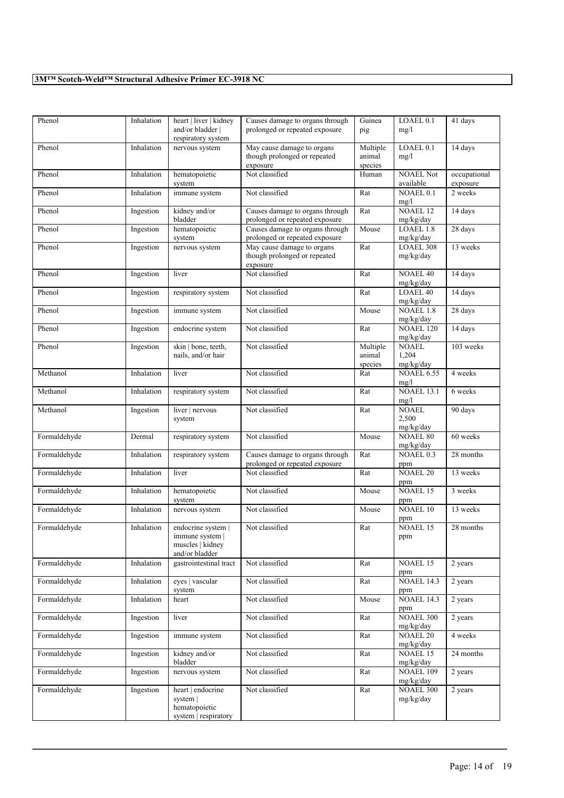| Phenol       | Inhalation | heart   liver   kidney<br>and/or bladder  <br>respiratory system          | Causes damage to organs through<br>prolonged or repeated exposure      | Guinea<br>pig                 | LOAEL <sub>0.1</sub><br>mg/l       | 41 days                  |
|--------------|------------|---------------------------------------------------------------------------|------------------------------------------------------------------------|-------------------------------|------------------------------------|--------------------------|
| Phenol       |            |                                                                           |                                                                        | Multiple                      | LOAEL 0.1                          |                          |
|              | Inhalation | nervous system                                                            | May cause damage to organs<br>though prolonged or repeated<br>exposure | animal<br>species             | mg/l                               | 14 days                  |
| Phenol       | Inhalation | hematopoietic<br>system                                                   | Not classified                                                         | Human                         | <b>NOAEL Not</b><br>available      | occupational<br>exposure |
| Phenol       | Inhalation | immune system                                                             | Not classified                                                         | Rat                           | NOAEL 0.1<br>mg/l                  | 2 weeks                  |
| Phenol       | Ingestion  | kidney and/or<br>bladder                                                  | Causes damage to organs through<br>prolonged or repeated exposure      | Rat                           | <b>NOAEL 12</b><br>mg/kg/day       | 14 days                  |
| Phenol       | Ingestion  | hematopoietic<br>system                                                   | Causes damage to organs through<br>prolonged or repeated exposure      | Mouse                         | LOAEL 1.8<br>mg/kg/day             | 28 days                  |
| Phenol       | Ingestion  | nervous system                                                            | May cause damage to organs<br>though prolonged or repeated<br>exposure | Rat                           | LOAEL 308<br>mg/kg/day             | 13 weeks                 |
| Phenol       | Ingestion  | liver                                                                     | Not classified                                                         | Rat                           | <b>NOAEL 40</b><br>mg/kg/day       | 14 days                  |
| Phenol       | Ingestion  | respiratory system                                                        | Not classified                                                         | Rat                           | <b>LOAEL 40</b><br>mg/kg/day       | 14 days                  |
| Phenol       | Ingestion  | immune system                                                             | Not classified                                                         | Mouse                         | <b>NOAEL 1.8</b><br>mg/kg/day      | 28 days                  |
| Phenol       | Ingestion  | endocrine system                                                          | Not classified                                                         | Rat                           | NOAEL 120<br>mg/kg/day             | 14 days                  |
| Phenol       | Ingestion  | skin   bone, teeth,<br>nails, and/or hair                                 | Not classified                                                         | Multiple<br>animal<br>species | <b>NOAEL</b><br>1,204<br>mg/kg/day | 103 weeks                |
| Methanol     | Inhalation | liver                                                                     | Not classified                                                         | Rat                           | <b>NOAEL 6.55</b><br>mg/l          | 4 weeks                  |
| Methanol     | Inhalation | respiratory system                                                        | Not classified                                                         | Rat                           | <b>NOAEL 13.1</b><br>mg/l          | 6 weeks                  |
| Methanol     | Ingestion  | liver   nervous<br>system                                                 | Not classified                                                         | Rat                           | <b>NOAEL</b><br>2,500<br>mg/kg/day | 90 days                  |
| Formaldehyde | Dermal     | respiratory system                                                        | Not classified                                                         | Mouse                         | <b>NOAEL 80</b><br>mg/kg/day       | 60 weeks                 |
| Formaldehyde | Inhalation | respiratory system                                                        | Causes damage to organs through<br>prolonged or repeated exposure      | Rat                           | NOAEL 0.3<br>ppm                   | 28 months                |
| Formaldehyde | Inhalation | liver                                                                     | Not classified                                                         | Rat                           | <b>NOAEL 20</b><br>ppm             | 13 weeks                 |
| Formaldehyde | Inhalation | hematopoietic<br>system                                                   | Not classified                                                         | Mouse                         | NOAEL 15<br>ppm                    | 3 weeks                  |
| Formaldehyde | Inhalation | nervous system                                                            | Not classified                                                         | Mouse                         | NOAEL 10<br>ppm                    | 13 weeks                 |
| Formaldehyde | Inhalation | endocrine system  <br>immune system<br>muscles   kidney<br>and/or bladder | Not classified                                                         | Rat                           | <b>NOAEL 15</b><br>ppm             | 28 months                |
| Formaldehyde | Inhalation | gastrointestinal tract                                                    | Not classified                                                         | Rat                           | NOAEL 15<br>ppm                    | 2 years                  |
| Formaldehyde | Inhalation | eyes   vascular<br>system                                                 | Not classified                                                         | Rat                           | <b>NOAEL 14.3</b><br>ppm           | 2 years                  |
| Formaldehyde | Inhalation | heart                                                                     | Not classified                                                         | Mouse                         | <b>NOAEL 14.3</b><br>ppm           | 2 years                  |
| Formaldehyde | Ingestion  | liver                                                                     | Not classified                                                         | Rat                           | <b>NOAEL 300</b><br>mg/kg/day      | 2 years                  |
| Formaldehyde | Ingestion  | immune system                                                             | Not classified                                                         | Rat                           | <b>NOAEL 20</b><br>mg/kg/day       | 4 weeks                  |
| Formaldehyde | Ingestion  | kidney and/or<br>bladder                                                  | Not classified                                                         | Rat                           | NOAEL 15<br>mg/kg/day              | 24 months                |
| Formaldehyde | Ingestion  | nervous system                                                            | Not classified                                                         | Rat                           | <b>NOAEL 109</b><br>mg/kg/day      | 2 years                  |
| Formaldehyde | Ingestion  | heart   endocrine<br>system  <br>hematopoietic<br>system   respiratory    | Not classified                                                         | Rat                           | <b>NOAEL 300</b><br>mg/kg/day      | 2 years                  |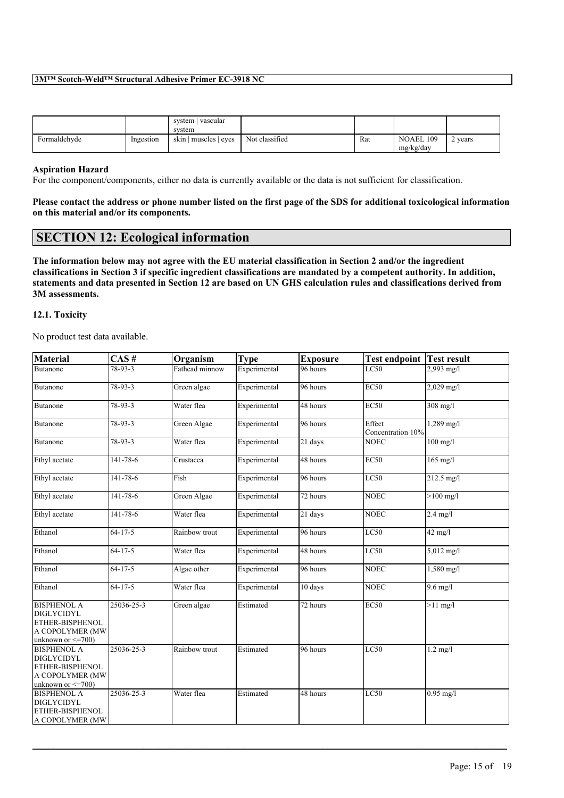|              |           | vascular<br>system<br>system |                |     |                               |         |
|--------------|-----------|------------------------------|----------------|-----|-------------------------------|---------|
| Formaldehyde | Ingestion | skin   muscles   eyes        | Not classified | Rat | <b>NOAEL 109</b><br>mg/kg/day | 2 years |

#### **Aspiration Hazard**

For the component/components, either no data is currently available or the data is not sufficient for classification.

Please contact the address or phone number listed on the first page of the SDS for additional toxicological information **on this material and/or its components.**

### **SECTION 12: Ecological information**

The information below may not agree with the EU material classification in Section 2 and/or the ingredient classifications in Section 3 if specific ingredient classifications are mandated by a competent authority. In addition, statements and data presented in Section 12 are based on UN GHS calculation rules and classifications derived from **3M assessments.**

#### **12.1. Toxicity**

No product test data available.

| <b>Material</b>                                                                                          | CAS#          | Organism       | <b>Type</b>  | <b>Exposure</b> | <b>Test endpoint Test result</b> |                   |
|----------------------------------------------------------------------------------------------------------|---------------|----------------|--------------|-----------------|----------------------------------|-------------------|
| Butanone                                                                                                 | 78-93-3       | Fathead minnow | Experimental | 96 hours        | $\overline{LC50}$                | 2,993 mg/l        |
| <b>Butanone</b>                                                                                          | 78-93-3       | Green algae    | Experimental | 96 hours        | EC50                             | 2,029 mg/l        |
| Butanone                                                                                                 | 78-93-3       | Water flea     | Experimental | 48 hours        | <b>EC50</b>                      | $308$ mg/l        |
| Butanone                                                                                                 | 78-93-3       | Green Algae    | Experimental | 96 hours        | Effect<br>Concentration 10%      | $1,289$ mg/l      |
| Butanone                                                                                                 | 78-93-3       | Water flea     | Experimental | 21 days         | <b>NOEC</b>                      | $100$ mg/l        |
| Ethyl acetate                                                                                            | 141-78-6      | Crustacea      | Experimental | 48 hours        | <b>EC50</b>                      | $165$ mg/l        |
| Ethyl acetate                                                                                            | 141-78-6      | Fish           | Experimental | 96 hours        | LC50                             | 212.5 mg/l        |
| Ethyl acetate                                                                                            | 141-78-6      | Green Algae    | Experimental | 72 hours        | <b>NOEC</b>                      | $>100$ mg/l       |
| Ethyl acetate                                                                                            | 141-78-6      | Water flea     | Experimental | 21 days         | <b>NOEC</b>                      | $2.4$ mg/l        |
| Ethanol                                                                                                  | $64 - 17 - 5$ | Rainbow trout  | Experimental | 96 hours        | LC50                             | $42 \text{ mg/l}$ |
| Ethanol                                                                                                  | $64 - 17 - 5$ | Water flea     | Experimental | 48 hours        | LC50                             | 5,012 mg/l        |
| Ethanol                                                                                                  | $64 - 17 - 5$ | Algae other    | Experimental | 96 hours        | NOEC                             | 1,580 mg/l        |
| Ethanol                                                                                                  | $64 - 17 - 5$ | Water flea     | Experimental | 10 days         | <b>NOEC</b>                      | $9.6$ mg/l        |
| <b>BISPHENOL A</b><br><b>DIGLYCIDYL</b><br>ETHER-BISPHENOL<br>A COPOLYMER (MW<br>unknown or $\leq$ =700) | 25036-25-3    | Green algae    | Estimated    | 72 hours        | <b>EC50</b>                      | $>11$ mg/l        |
| <b>BISPHENOL A</b><br><b>DIGLYCIDYL</b><br>ETHER-BISPHENOL<br>A COPOLYMER (MW<br>unknown or $\leq$ 700)  | 25036-25-3    | Rainbow trout  | Estimated    | 96 hours        | LC50                             | $1.2$ mg/l        |
| <b>BISPHENOL A</b><br><b>DIGLYCIDYL</b><br>ETHER-BISPHENOL<br>A COPOLYMER (MW                            | 25036-25-3    | Water flea     | Estimated    | 48 hours        | LC50                             | $0.95$ mg/l       |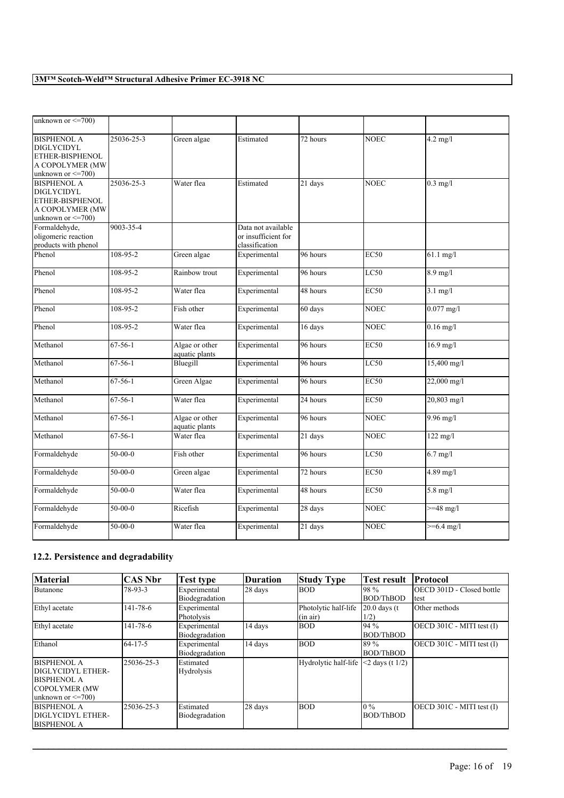| unknown or $\leq$ 700)                                                                                   |                |                                  |                                                             |                       |             |                     |
|----------------------------------------------------------------------------------------------------------|----------------|----------------------------------|-------------------------------------------------------------|-----------------------|-------------|---------------------|
| <b>BISPHENOL A</b><br><b>DIGLYCIDYL</b><br>ETHER-BISPHENOL<br>A COPOLYMER (MW<br>unknown or $\leq$ 700)  | 25036-25-3     | Green algae                      | Estimated                                                   | 72 hours              | NOEC        | $4.2$ mg/l          |
| <b>BISPHENOL A</b><br><b>DIGLYCIDYL</b><br>ETHER-BISPHENOL<br>A COPOLYMER (MW<br>unknown or $\leq$ =700) | 25036-25-3     | Water flea                       | Estimated                                                   | 21 days               | <b>NOEC</b> | $0.3$ mg/l          |
| Formaldehyde,<br>oligomeric reaction<br>products with phenol                                             | 9003-35-4      |                                  | Data not available<br>or insufficient for<br>classification |                       |             |                     |
| Phenol                                                                                                   | $108 - 95 - 2$ | Green algae                      | Experimental                                                | 96 hours              | EC50        | $61.1$ mg/l         |
| Phenol                                                                                                   | $108 - 95 - 2$ | Rainbow trout                    | Experimental                                                | 96 hours              | LC50        | $8.9$ mg/l          |
| Phenol                                                                                                   | 108-95-2       | Water flea                       | Experimental                                                | 48 hours              | <b>EC50</b> | $3.1$ mg/l          |
| Phenol                                                                                                   | 108-95-2       | Fish other                       | Experimental                                                | 60 days               | <b>NOEC</b> | $0.077$ mg/l        |
| Phenol                                                                                                   | 108-95-2       | Water flea                       | Experimental                                                | 16 days               | <b>NOEC</b> | $0.16$ mg/l         |
| Methanol                                                                                                 | $67-56-1$      | Algae or other<br>aquatic plants | Experimental                                                | 96 hours              | <b>EC50</b> | $16.9$ mg/l         |
| Methanol                                                                                                 | $67-56-1$      | Bluegill                         | Experimental                                                | 96 hours              | LC50        | 15,400 mg/l         |
| Methanol                                                                                                 | $67 - 56 - 1$  | Green Algae                      | Experimental                                                | 96 hours              | <b>EC50</b> | 22,000 mg/l         |
| Methanol                                                                                                 | $67 - 56 - 1$  | Water flea                       | Experimental                                                | 24 hours              | <b>EC50</b> | 20,803 mg/l         |
| Methanol                                                                                                 | $67 - 56 - 1$  | Algae or other<br>aquatic plants | Experimental                                                | 96 hours              | <b>NOEC</b> | $9.96 \text{ mg}/l$ |
| Methanol                                                                                                 | $67-56-1$      | Water flea                       | Experimental                                                | 21 days               | <b>NOEC</b> | $122$ mg/l          |
| Formaldehyde                                                                                             | $50-00-0$      | Fish other                       | Experimental                                                | 96 hours              | LC50        | $6.7$ mg/l          |
| Formaldehyde                                                                                             | $50 - 00 - 0$  | Green algae                      | Experimental                                                | 72 hours              | EC50        | $4.89$ mg/l         |
| Formaldehyde                                                                                             | $50-00-0$      | Water flea                       | Experimental                                                | $\overline{48}$ hours | <b>EC50</b> | $5.8$ mg/l          |
| Formaldehyde                                                                                             | $50-00-0$      | Ricefish                         | Experimental                                                | 28 days               | <b>NOEC</b> | $>=$ 48 mg/l        |
| Formaldehyde                                                                                             | $50 - 00 - 0$  | Water flea                       | Experimental                                                | 21 days               | <b>NOEC</b> | $>= 6.4$ mg/l       |

# **12.2. Persistence and degradability**

| <b>Material</b>         | CAS Nbr    | Test type      | <b>Duration</b> | <b>Study Type</b>    | <b>Test result</b> | Protocol                  |
|-------------------------|------------|----------------|-----------------|----------------------|--------------------|---------------------------|
| Butanone                | 78-93-3    | Experimental   | 28 days         | <b>BOD</b>           | 198 %              | OECD 301D - Closed bottle |
|                         |            | Biodegradation |                 |                      | <b>BOD/ThBOD</b>   | test                      |
| Ethyl acetate           | 141-78-6   | Experimental   |                 | Photolytic half-life | $20.0$ days (t)    | Other methods             |
|                         |            | Photolysis     |                 | $(\text{in air})$    | 1/2)               |                           |
| Ethyl acetate           | 141-78-6   | Experimental   | 14 days         | <b>BOD</b>           | 194%               | OECD 301C - MITI test (I) |
|                         |            | Biodegradation |                 |                      | <b>BOD/ThBOD</b>   |                           |
| Ethanol                 | 64-17-5    | Experimental   | 14 days         | <b>BOD</b>           | 89%                | OECD 301C - MITI test (I) |
|                         |            | Biodegradation |                 |                      | <b>BOD/ThBOD</b>   |                           |
| <b>BISPHENOL A</b>      | 25036-25-3 | Estimated      |                 | Hydrolytic half-life | $<$ 2 days (t 1/2) |                           |
| DIGLYCIDYL ETHER-       |            | Hydrolysis     |                 |                      |                    |                           |
| <b>BISPHENOL A</b>      |            |                |                 |                      |                    |                           |
| <b>COPOLYMER (MW)</b>   |            |                |                 |                      |                    |                           |
| unknown or $\leq$ =700) |            |                |                 |                      |                    |                           |
| <b>BISPHENOL A</b>      | 25036-25-3 | Estimated      | 28 days         | <b>BOD</b>           | $10\%$             | OECD 301C - MITI test (I) |
| DIGLYCIDYL ETHER-       |            | Biodegradation |                 |                      | <b>BOD/ThBOD</b>   |                           |
| <b>BISPHENOL A</b>      |            |                |                 |                      |                    |                           |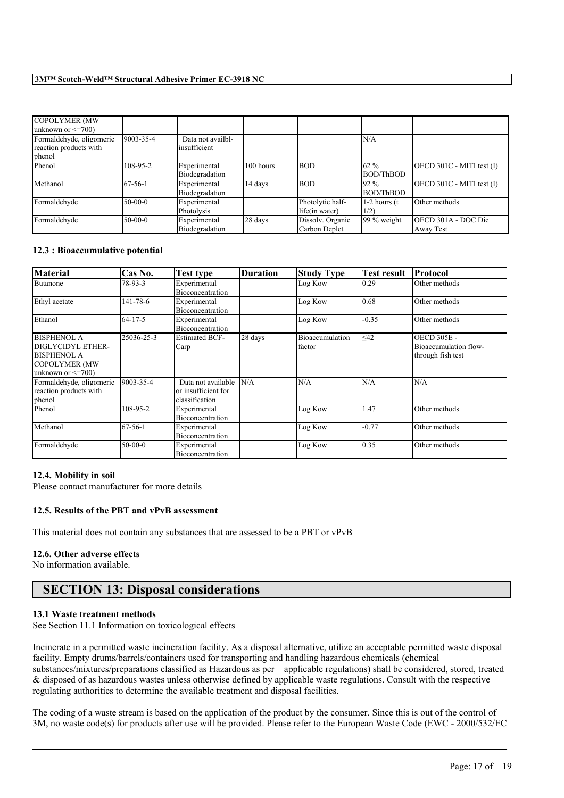| COPOLYMER (MW                                                |               |                                   |           |                                    |                           |                                  |
|--------------------------------------------------------------|---------------|-----------------------------------|-----------|------------------------------------|---------------------------|----------------------------------|
| unknown or $\leq$ =700)                                      |               |                                   |           |                                    |                           |                                  |
| Formaldehyde, oligomeric<br>reaction products with<br>phenol | 9003-35-4     | Data not availbl-<br>insufficient |           |                                    | N/A                       |                                  |
| Phenol                                                       | 108-95-2      | Experimental<br>Biodegradation    | 100 hours | <b>BOD</b>                         | 62 %<br>BOD/ThBOD         | $[OECD 301C - MITI test (I)]$    |
| Methanol                                                     | $67 - 56 - 1$ | Experimental<br>Biodegradation    | 14 days   | <b>BOD</b>                         | 192 %<br>BOD/ThBOD        | $[OECD 301C - MITI test (I)]$    |
| Formaldehyde                                                 | $50-00-0$     | Experimental<br>Photolysis        |           | Photolytic half-<br>life(in water) | $1-2$ hours $(t)$<br>1/2) | Other methods                    |
| Formaldehyde                                                 | $50-00-0$     | Experimental<br>Biodegradation    | 28 days   | Dissolv. Organic<br>Carbon Deplet  | $99\%$ weight             | OECD 301A - DOC Die<br>Away Test |

#### **12.3 : Bioaccumulative potential**

| <b>Material</b>                                                                                                   | Cas No.       | Test type                                                   | <b>Duration</b> | <b>Study Type</b>         | <b>Test result</b> | Protocol                                                         |
|-------------------------------------------------------------------------------------------------------------------|---------------|-------------------------------------------------------------|-----------------|---------------------------|--------------------|------------------------------------------------------------------|
| Butanone                                                                                                          | 78-93-3       | Experimental<br>Bioconcentration                            |                 | Log Kow                   | $\vert 0.29 \vert$ | Other methods                                                    |
| Ethyl acetate                                                                                                     | 141-78-6      | Experimental<br>Bioconcentration                            |                 | Log Kow                   | 0.68               | Other methods                                                    |
| Ethanol                                                                                                           | $64 - 17 - 5$ | Experimental<br>Bioconcentration                            |                 | Log Kow                   | $-0.35$            | Other methods                                                    |
| <b>BISPHENOL A</b><br>DIGLYCIDYL ETHER-<br><b>BISPHENOL A</b><br><b>COPOLYMER (MW)</b><br>unknown or $\leq$ =700) | 25036-25-3    | <b>Estimated BCF-</b><br>Carp                               | 28 days         | Bioaccumulation<br>factor | $\leq$ 42          | <b>OECD 305E -</b><br>Bioaccumulation flow-<br>through fish test |
| Formaldehyde, oligomeric<br>reaction products with<br>phenol                                                      | 9003-35-4     | Data not available<br>or insufficient for<br>classification | N/A             | N/A                       | N/A                | N/A                                                              |
| Phenol                                                                                                            | 108-95-2      | Experimental<br>Bioconcentration                            |                 | Log Kow                   | 1.47               | Other methods                                                    |
| Methanol                                                                                                          | $67 - 56 - 1$ | Experimental<br>Bioconcentration                            |                 | Log Kow                   | $-0.77$            | Other methods                                                    |
| Formaldehyde                                                                                                      | $50-00-0$     | Experimental<br>Bioconcentration                            |                 | Log Kow                   | 0.35               | Other methods                                                    |

#### **12.4. Mobility in soil**

Please contact manufacturer for more details

#### **12.5. Results of the PBT and vPvB assessment**

This material does not contain any substances that are assessed to be a PBT or vPvB

#### **12.6. Other adverse effects**

No information available.

# **SECTION 13: Disposal considerations**

#### **13.1 Waste treatment methods**

See Section 11.1 Information on toxicological effects

Incinerate in a permitted waste incineration facility. As a disposal alternative, utilize an acceptable permitted waste disposal facility. Empty drums/barrels/containers used for transporting and handling hazardous chemicals (chemical substances/mixtures/preparations classified as Hazardous as per applicable regulations) shall be considered, stored, treated & disposed of as hazardous wastes unless otherwise defined by applicable waste regulations. Consult with the respective regulating authorities to determine the available treatment and disposal facilities.

The coding of a waste stream is based on the application of the product by the consumer. Since this is out of the control of 3M, no waste code(s) for products after use will be provided. Please refer to the European Waste Code (EWC - 2000/532/EC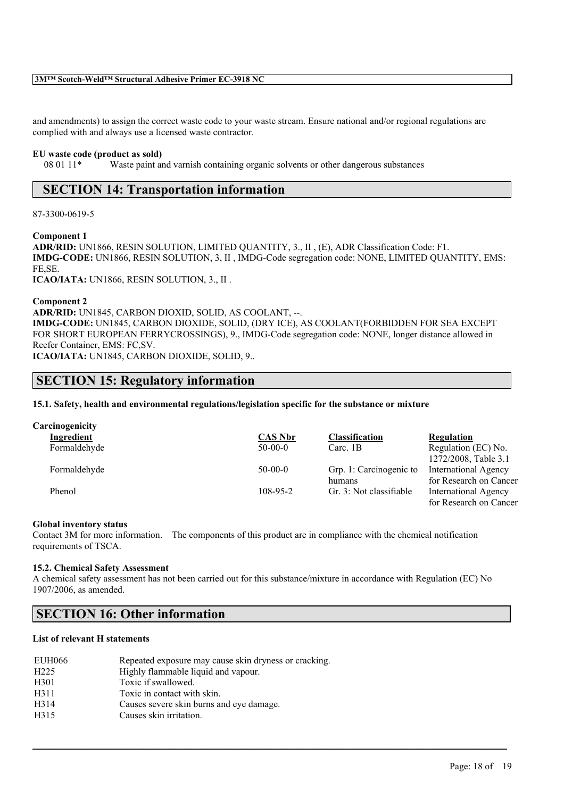and amendments) to assign the correct waste code to your waste stream. Ensure national and/or regional regulations are complied with and always use a licensed waste contractor.

#### **EU waste code (product as sold)**

08 01 11\* Waste paint and varnish containing organic solvents or other dangerous substances

# **SECTION 14: Transportation information**

87-3300-0619-5

**Component 1**

**ADR/RID:** UN1866, RESIN SOLUTION, LIMITED QUANTITY, 3., II , (E), ADR Classification Code: F1. **IMDG-CODE:** UN1866, RESIN SOLUTION, 3, II , IMDG-Code segregation code: NONE, LIMITED QUANTITY, EMS: FE,SE. **ICAO/IATA:** UN1866, RESIN SOLUTION, 3., II .

**Component 2**

**ADR/RID:** UN1845, CARBON DIOXID, SOLID, AS COOLANT, --. **IMDG-CODE:** UN1845, CARBON DIOXIDE, SOLID, (DRY ICE), AS COOLANT(FORBIDDEN FOR SEA EXCEPT FOR SHORT EUROPEAN FERRYCROSSINGS), 9., IMDG-Code segregation code: NONE, longer distance allowed in Reefer Container, EMS: FC,SV.

**ICAO/IATA:** UN1845, CARBON DIOXIDE, SOLID, 9..

# **SECTION 15: Regulatory information**

**15.1. Safety, health and environmental regulations/legislation specific for the substance or mixture**

| Carcinogenicity |                |                         |                             |
|-----------------|----------------|-------------------------|-----------------------------|
| Ingredient      | <b>CAS Nbr</b> | <b>Classification</b>   | Regulation                  |
| Formaldehyde    | $50-00-0$      | Carc. $1B$              | Regulation (EC) No.         |
|                 |                |                         | 1272/2008, Table 3.1        |
| Formaldehyde    | $50-00-0$      | Grp. 1: Carcinogenic to | <b>International Agency</b> |
|                 |                | humans                  | for Research on Cancer      |
| Phenol          | $108 - 95 - 2$ | Gr. 3: Not classifiable | <b>International Agency</b> |
|                 |                |                         | for Research on Cancer      |

#### **Global inventory status**

Contact 3M for more information. The components of this product are in compliance with the chemical notification requirements of TSCA.

#### **15.2. Chemical Safety Assessment**

A chemical safety assessment has not been carried out for this substance/mixture in accordance with Regulation (EC) No 1907/2006, as amended.

 $\mathcal{L}_\mathcal{L} = \mathcal{L}_\mathcal{L} = \mathcal{L}_\mathcal{L} = \mathcal{L}_\mathcal{L} = \mathcal{L}_\mathcal{L} = \mathcal{L}_\mathcal{L} = \mathcal{L}_\mathcal{L} = \mathcal{L}_\mathcal{L} = \mathcal{L}_\mathcal{L} = \mathcal{L}_\mathcal{L} = \mathcal{L}_\mathcal{L} = \mathcal{L}_\mathcal{L} = \mathcal{L}_\mathcal{L} = \mathcal{L}_\mathcal{L} = \mathcal{L}_\mathcal{L} = \mathcal{L}_\mathcal{L} = \mathcal{L}_\mathcal{L}$ 

# **SECTION 16: Other information**

#### **List of relevant H statements**

| EUH066           | Repeated exposure may cause skin dryness or cracking. |
|------------------|-------------------------------------------------------|
| H <sub>225</sub> | Highly flammable liquid and vapour.                   |
| H301             | Toxic if swallowed.                                   |
| H311             | Toxic in contact with skin.                           |
| H314             | Causes severe skin burns and eve damage.              |
| H315             | Causes skin irritation.                               |